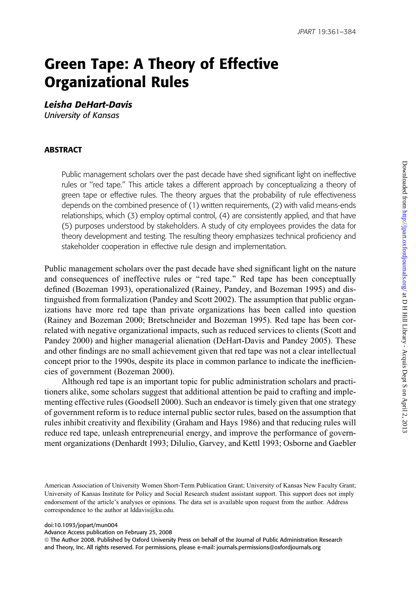# Green Tape: A Theory of Effective Organizational Rules

Leisha DeHart-Davis

University of Kansas

#### ABSTRACT

Public management scholars over the past decade have shed significant light on ineffective rules or ''red tape.'' This article takes a different approach by conceptualizing a theory of green tape or effective rules. The theory argues that the probability of rule effectiveness depends on the combined presence of (1) written requirements, (2) with valid means-ends relationships, which (3) employ optimal control, (4) are consistently applied, and that have (5) purposes understood by stakeholders. A study of city employees provides the data for theory development and testing. The resulting theory emphasizes technical proficiency and stakeholder cooperation in effective rule design and implementation.

Public management scholars over the past decade have shed significant light on the nature and consequences of ineffective rules or ''red tape.'' Red tape has been conceptually defined (Bozeman 1993), operationalized (Rainey, Pandey, and Bozeman 1995) and distinguished from formalization (Pandey and Scott 2002). The assumption that public organizations have more red tape than private organizations has been called into question (Rainey and Bozeman 2000; Bretschneider and Bozeman 1995). Red tape has been correlated with negative organizational impacts, such as reduced services to clients (Scott and Pandey 2000) and higher managerial alienation (DeHart-Davis and Pandey 2005). These and other findings are no small achievement given that red tape was not a clear intellectual concept prior to the 1990s, despite its place in common parlance to indicate the inefficiencies of government (Bozeman 2000).

Although red tape is an important topic for public administration scholars and practitioners alike, some scholars suggest that additional attention be paid to crafting and implementing effective rules (Goodsell 2000). Such an endeavor is timely given that one strategy of government reform is to reduce internal public sector rules, based on the assumption that rules inhibit creativity and flexibility (Graham and Hays 1986) and that reducing rules will reduce red tape, unleash entrepreneurial energy, and improve the performance of government organizations (Denhardt 1993; Dilulio, Garvey, and Kettl 1993; Osborne and Gaebler

American Association of University Women Short-Term Publication Grant; University of Kansas New Faculty Grant; University of Kansas Institute for Policy and Social Research student assistant support. This support does not imply endorsement of the article's analyses or opinions. The data set is available upon request from the author. Address correspondence to the author at lddavis@ku.edu.

doi:10.1093/jopart/mun004

Advance Access publication on February 25, 2008

*ª* The Author 2008. Published by Oxford University Press on behalf of the Journal of Public Administration Research and Theory, Inc. All rights reserved. For permissions, please e-mail: journals.permissions@oxfordjournals.org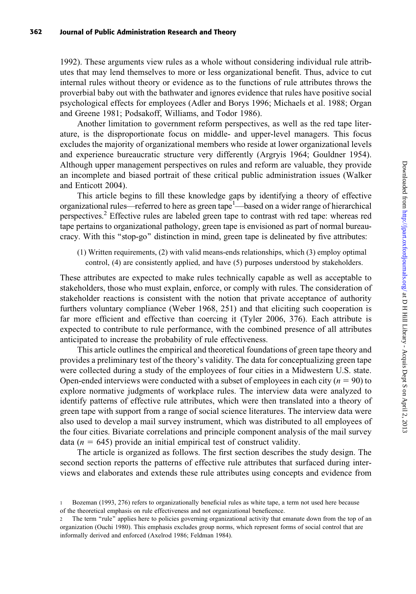1992). These arguments view rules as a whole without considering individual rule attributes that may lend themselves to more or less organizational benefit. Thus, advice to cut internal rules without theory or evidence as to the functions of rule attributes throws the proverbial baby out with the bathwater and ignores evidence that rules have positive social psychological effects for employees (Adler and Borys 1996; Michaels et al. 1988; Organ and Greene 1981; Podsakoff, Williams, and Todor 1986).

Another limitation to government reform perspectives, as well as the red tape literature, is the disproportionate focus on middle- and upper-level managers. This focus excludes the majority of organizational members who reside at lower organizational levels and experience bureaucratic structure very differently (Argryis 1964; Gouldner 1954). Although upper management perspectives on rules and reform are valuable, they provide an incomplete and biased portrait of these critical public administration issues (Walker and Enticott 2004).

This article begins to fill these knowledge gaps by identifying a theory of effective organizational rules—referred to here as green tape<sup>1</sup>—based on a wider range of hierarchical perspectives.2 Effective rules are labeled green tape to contrast with red tape: whereas red tape pertains to organizational pathology, green tape is envisioned as part of normal bureaucracy. With this ''stop-go'' distinction in mind, green tape is delineated by five attributes:

(1) Written requirements, (2) with valid means-ends relationships, which (3) employ optimal control, (4) are consistently applied, and have (5) purposes understood by stakeholders.

These attributes are expected to make rules technically capable as well as acceptable to stakeholders, those who must explain, enforce, or comply with rules. The consideration of stakeholder reactions is consistent with the notion that private acceptance of authority furthers voluntary compliance (Weber 1968, 251) and that eliciting such cooperation is far more efficient and effective than coercing it (Tyler 2006, 376). Each attribute is expected to contribute to rule performance, with the combined presence of all attributes anticipated to increase the probability of rule effectiveness.

This article outlines the empirical and theoretical foundations of green tape theory and provides a preliminary test of the theory's validity. The data for conceptualizing green tape were collected during a study of the employees of four cities in a Midwestern U.S. state. Open-ended interviews were conducted with a subset of employees in each city ( $n = 90$ ) to explore normative judgments of workplace rules. The interview data were analyzed to identify patterns of effective rule attributes, which were then translated into a theory of green tape with support from a range of social science literatures. The interview data were also used to develop a mail survey instrument, which was distributed to all employees of the four cities. Bivariate correlations and principle component analysis of the mail survey data ( $n = 645$ ) provide an initial empirical test of construct validity.

The article is organized as follows. The first section describes the study design. The second section reports the patterns of effective rule attributes that surfaced during interviews and elaborates and extends these rule attributes using concepts and evidence from

<sup>1</sup> Bozeman (1993, 276) refers to organizationally beneficial rules as white tape, a term not used here because of the theoretical emphasis on rule effectiveness and not organizational beneficence.

<sup>2</sup> The term ''rule'' applies here to policies governing organizational activity that emanate down from the top of an organization (Ouchi 1980). This emphasis excludes group norms, which represent forms of social control that are informally derived and enforced (Axelrod 1986; Feldman 1984).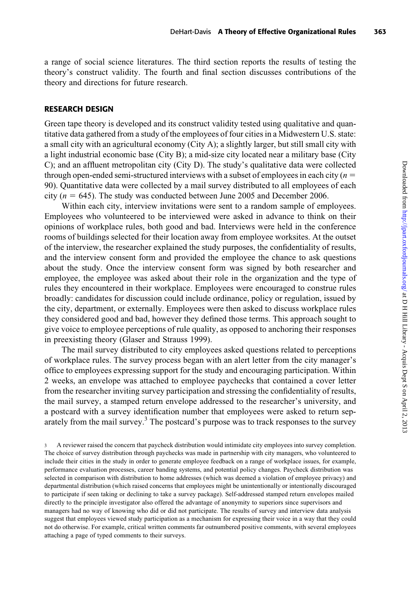a range of social science literatures. The third section reports the results of testing the theory's construct validity. The fourth and final section discusses contributions of the theory and directions for future research.

#### RESEARCH DESIGN

Green tape theory is developed and its construct validity tested using qualitative and quantitative data gathered from a study of the employees of four cities in a Midwestern U.S. state: a small city with an agricultural economy (City A); a slightly larger, but still small city with a light industrial economic base (City B); a mid-size city located near a military base (City C); and an affluent metropolitan city (City D). The study's qualitative data were collected through open-ended semi-structured interviews with a subset of employees in each city ( $n =$ 90). Quantitative data were collected by a mail survey distributed to all employees of each city ( $n = 645$ ). The study was conducted between June 2005 and December 2006.

Within each city, interview invitations were sent to a random sample of employees. Employees who volunteered to be interviewed were asked in advance to think on their opinions of workplace rules, both good and bad. Interviews were held in the conference rooms of buildings selected for their location away from employee worksites. At the outset of the interview, the researcher explained the study purposes, the confidentiality of results, and the interview consent form and provided the employee the chance to ask questions about the study. Once the interview consent form was signed by both researcher and employee, the employee was asked about their role in the organization and the type of rules they encountered in their workplace. Employees were encouraged to construe rules broadly: candidates for discussion could include ordinance, policy or regulation, issued by the city, department, or externally. Employees were then asked to discuss workplace rules they considered good and bad, however they defined those terms. This approach sought to give voice to employee perceptions of rule quality, as opposed to anchoring their responses in preexisting theory (Glaser and Strauss 1999).

The mail survey distributed to city employees asked questions related to perceptions of workplace rules. The survey process began with an alert letter from the city manager's office to employees expressing support for the study and encouraging participation. Within 2 weeks, an envelope was attached to employee paychecks that contained a cover letter from the researcher inviting survey participation and stressing the confidentiality of results, the mail survey, a stamped return envelope addressed to the researcher's university, and a postcard with a survey identification number that employees were asked to return separately from the mail survey.<sup>3</sup> The postcard's purpose was to track responses to the survey

<sup>3</sup> A reviewer raised the concern that paycheck distribution would intimidate city employees into survey completion. The choice of survey distribution through paychecks was made in partnership with city managers, who volunteered to include their cities in the study in order to generate employee feedback on a range of workplace issues, for example, performance evaluation processes, career banding systems, and potential policy changes. Paycheck distribution was selected in comparison with distribution to home addresses (which was deemed a violation of employee privacy) and departmental distribution (which raised concerns that employees might be unintentionally or intentionally discouraged to participate if seen taking or declining to take a survey package). Self-addressed stamped return envelopes mailed directly to the principle investigator also offered the advantage of anonymity to superiors since supervisors and managers had no way of knowing who did or did not participate. The results of survey and interview data analysis suggest that employees viewed study participation as a mechanism for expressing their voice in a way that they could not do otherwise. For example, critical written comments far outnumbered positive comments, with several employees attaching a page of typed comments to their surveys.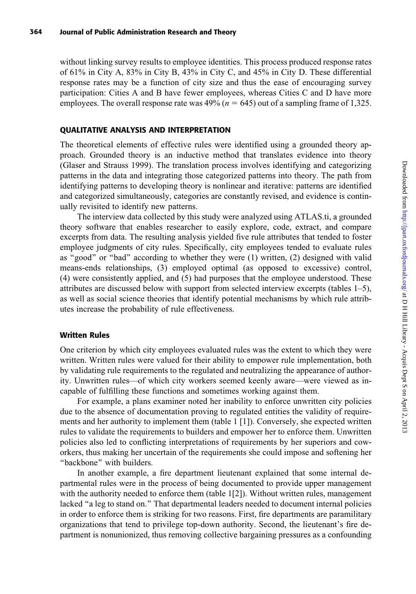without linking survey results to employee identities. This process produced response rates of 61% in City A, 83% in City B, 43% in City C, and 45% in City D. These differential response rates may be a function of city size and thus the ease of encouraging survey participation: Cities A and B have fewer employees, whereas Cities C and D have more employees. The overall response rate was  $49\%$  ( $n = 645$ ) out of a sampling frame of 1,325.

## QUALITATIVE ANALYSIS AND INTERPRETATION

The theoretical elements of effective rules were identified using a grounded theory approach. Grounded theory is an inductive method that translates evidence into theory (Glaser and Strauss 1999). The translation process involves identifying and categorizing patterns in the data and integrating those categorized patterns into theory. The path from identifying patterns to developing theory is nonlinear and iterative: patterns are identified and categorized simultaneously, categories are constantly revised, and evidence is continually revisited to identify new patterns.

The interview data collected by this study were analyzed using ATLAS.ti, a grounded theory software that enables researcher to easily explore, code, extract, and compare excerpts from data. The resulting analysis yielded five rule attributes that tended to foster employee judgments of city rules. Specifically, city employees tended to evaluate rules as ''good'' or ''bad'' according to whether they were (1) written, (2) designed with valid means-ends relationships, (3) employed optimal (as opposed to excessive) control, (4) were consistently applied, and (5) had purposes that the employee understood. These attributes are discussed below with support from selected interview excerpts (tables 1–5), as well as social science theories that identify potential mechanisms by which rule attributes increase the probability of rule effectiveness.

## Written Rules

One criterion by which city employees evaluated rules was the extent to which they were written. Written rules were valued for their ability to empower rule implementation, both by validating rule requirements to the regulated and neutralizing the appearance of authority. Unwritten rules—of which city workers seemed keenly aware—were viewed as incapable of fulfilling these functions and sometimes working against them.

For example, a plans examiner noted her inability to enforce unwritten city policies due to the absence of documentation proving to regulated entities the validity of requirements and her authority to implement them (table 1 [1]). Conversely, she expected written rules to validate the requirements to builders and empower her to enforce them. Unwritten policies also led to conflicting interpretations of requirements by her superiors and coworkers, thus making her uncertain of the requirements she could impose and softening her "backbone" with builders.

In another example, a fire department lieutenant explained that some internal departmental rules were in the process of being documented to provide upper management with the authority needed to enforce them (table 1[2]). Without written rules, management lacked "a leg to stand on." That departmental leaders needed to document internal policies in order to enforce them is striking for two reasons. First, fire departments are paramilitary organizations that tend to privilege top-down authority. Second, the lieutenant's fire department is nonunionized, thus removing collective bargaining pressures as a confounding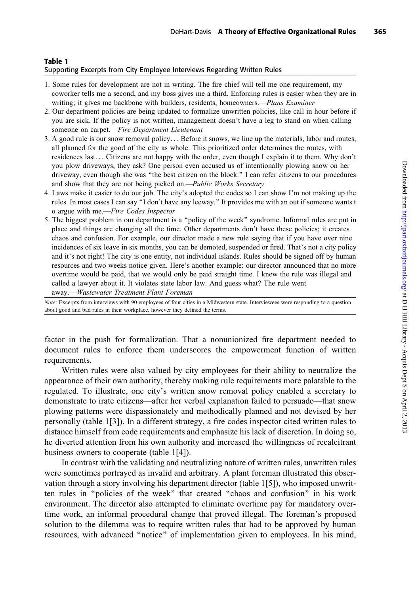#### Supporting Excerpts from City Employee Interviews Regarding Written Rules

- 1. Some rules for development are not in writing. The fire chief will tell me one requirement, my coworker tells me a second, and my boss gives me a third. Enforcing rules is easier when they are in writing; it gives me backbone with builders, residents, homeowners.—*Plans Examiner*
- 2. Our department policies are being updated to formalize unwritten policies, like call in hour before if you are sick. If the policy is not written, management doesn't have a leg to stand on when calling someone on carpet.-Fire Department Lieutenant
- 3. A good rule is our snow removal policy... Before it snows, we line up the materials, labor and routes, all planned for the good of the city as whole. This prioritized order determines the routes, with residences last... Citizens are not happy with the order, even though I explain it to them. Why don't you plow driveways, they ask? One person even accused us of intentionally plowing snow on her driveway, even though she was ''the best citizen on the block.'' I can refer citizens to our procedures and show that they are not being picked on.—Public Works Secretary
- 4. Laws make it easier to do our job. The city's adopted the codes so I can show I'm not making up the rules. In most cases I can say ''I don't have any leeway.'' It provides me with an out if someone wants t o argue with me.—Fire Codes Inspector
- 5. The biggest problem in our department is a ''policy of the week'' syndrome. Informal rules are put in place and things are changing all the time. Other departments don't have these policies; it creates chaos and confusion. For example, our director made a new rule saying that if you have over nine incidences of six leave in six months, you can be demoted, suspended or fired. That's not a city policy and it's not right! The city is one entity, not individual islands. Rules should be signed off by human resources and two weeks notice given. Here's another example: our director announced that no more overtime would be paid, that we would only be paid straight time. I knew the rule was illegal and called a lawyer about it. It violates state labor law. And guess what? The rule went away.—Wastewater Treatment Plant Foreman

Note: Excerpts from interviews with 90 employees of four cities in a Midwestern state. Interviewees were responding to a question about good and bad rules in their workplace, however they defined the terms.

factor in the push for formalization. That a nonunionized fire department needed to document rules to enforce them underscores the empowerment function of written requirements.

Written rules were also valued by city employees for their ability to neutralize the appearance of their own authority, thereby making rule requirements more palatable to the regulated. To illustrate, one city's written snow removal policy enabled a secretary to demonstrate to irate citizens—after her verbal explanation failed to persuade—that snow plowing patterns were dispassionately and methodically planned and not devised by her personally (table 1[3]). In a different strategy, a fire codes inspector cited written rules to distance himself from code requirements and emphasize his lack of discretion. In doing so, he diverted attention from his own authority and increased the willingness of recalcitrant business owners to cooperate (table 1[4]).

In contrast with the validating and neutralizing nature of written rules, unwritten rules were sometimes portrayed as invalid and arbitrary. A plant foreman illustrated this observation through a story involving his department director (table 1[5]), who imposed unwritten rules in ''policies of the week'' that created ''chaos and confusion'' in his work environment. The director also attempted to eliminate overtime pay for mandatory overtime work, an informal procedural change that proved illegal. The foreman's proposed solution to the dilemma was to require written rules that had to be approved by human resources, with advanced ''notice'' of implementation given to employees. In his mind,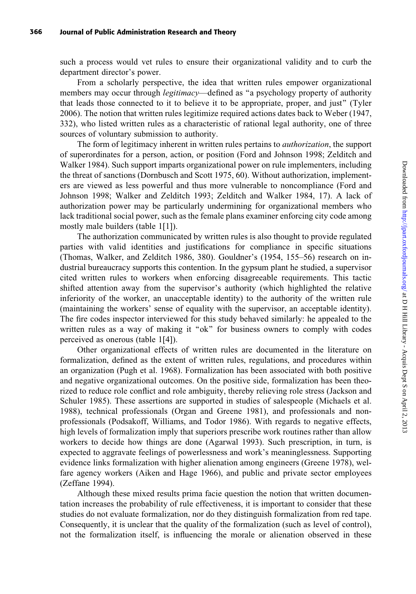such a process would vet rules to ensure their organizational validity and to curb the department director's power.

From a scholarly perspective, the idea that written rules empower organizational members may occur through *legitimacy*—defined as "a psychology property of authority that leads those connected to it to believe it to be appropriate, proper, and just'' (Tyler 2006). The notion that written rules legitimize required actions dates back to Weber (1947, 332), who listed written rules as a characteristic of rational legal authority, one of three sources of voluntary submission to authority.

The form of legitimacy inherent in written rules pertains to *authorization*, the support of superordinates for a person, action, or position (Ford and Johnson 1998; Zelditch and Walker 1984). Such support imparts organizational power on rule implementers, including the threat of sanctions (Dornbusch and Scott 1975, 60). Without authorization, implementers are viewed as less powerful and thus more vulnerable to noncompliance (Ford and Johnson 1998; Walker and Zelditch 1993; Zelditch and Walker 1984, 17). A lack of authorization power may be particularly undermining for organizational members who lack traditional social power, such as the female plans examiner enforcing city code among mostly male builders (table 1[1]).

The authorization communicated by written rules is also thought to provide regulated parties with valid identities and justifications for compliance in specific situations (Thomas, Walker, and Zelditch 1986, 380). Gouldner's (1954, 155–56) research on industrial bureaucracy supports this contention. In the gypsum plant he studied, a supervisor cited written rules to workers when enforcing disagreeable requirements. This tactic shifted attention away from the supervisor's authority (which highlighted the relative inferiority of the worker, an unacceptable identity) to the authority of the written rule (maintaining the workers' sense of equality with the supervisor, an acceptable identity). The fire codes inspector interviewed for this study behaved similarly: he appealed to the written rules as a way of making it "ok" for business owners to comply with codes perceived as onerous (table 1[4]).

Other organizational effects of written rules are documented in the literature on formalization, defined as the extent of written rules, regulations, and procedures within an organization (Pugh et al. 1968). Formalization has been associated with both positive and negative organizational outcomes. On the positive side, formalization has been theorized to reduce role conflict and role ambiguity, thereby relieving role stress (Jackson and Schuler 1985). These assertions are supported in studies of salespeople (Michaels et al. 1988), technical professionals (Organ and Greene 1981), and professionals and nonprofessionals (Podsakoff, Williams, and Todor 1986). With regards to negative effects, high levels of formalization imply that superiors prescribe work routines rather than allow workers to decide how things are done (Agarwal 1993). Such prescription, in turn, is expected to aggravate feelings of powerlessness and work's meaninglessness. Supporting evidence links formalization with higher alienation among engineers (Greene 1978), welfare agency workers (Aiken and Hage 1966), and public and private sector employees (Zeffane 1994).

Although these mixed results prima facie question the notion that written documentation increases the probability of rule effectiveness, it is important to consider that these studies do not evaluate formalization, nor do they distinguish formalization from red tape. Consequently, it is unclear that the quality of the formalization (such as level of control), not the formalization itself, is influencing the morale or alienation observed in these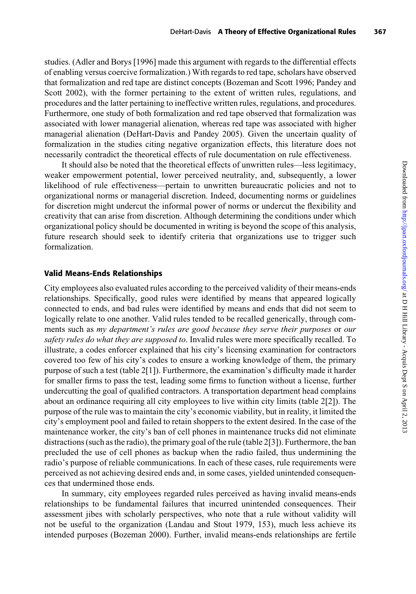studies. (Adler and Borys [1996] made this argument with regards to the differential effects of enabling versus coercive formalization.) With regards to red tape, scholars have observed that formalization and red tape are distinct concepts (Bozeman and Scott 1996; Pandey and Scott 2002), with the former pertaining to the extent of written rules, regulations, and procedures and the latter pertaining to ineffective written rules, regulations, and procedures. Furthermore, one study of both formalization and red tape observed that formalization was associated with lower managerial alienation, whereas red tape was associated with higher managerial alienation (DeHart-Davis and Pandey 2005). Given the uncertain quality of formalization in the studies citing negative organization effects, this literature does not necessarily contradict the theoretical effects of rule documentation on rule effectiveness.

It should also be noted that the theoretical effects of unwritten rules—less legitimacy, weaker empowerment potential, lower perceived neutrality, and, subsequently, a lower likelihood of rule effectiveness—pertain to unwritten bureaucratic policies and not to organizational norms or managerial discretion. Indeed, documenting norms or guidelines for discretion might undercut the informal power of norms or undercut the flexibility and creativity that can arise from discretion. Although determining the conditions under which organizational policy should be documented in writing is beyond the scope of this analysis, future research should seek to identify criteria that organizations use to trigger such formalization.

#### Valid Means-Ends Relationships

City employees also evaluated rules according to the perceived validity of their means-ends relationships. Specifically, good rules were identified by means that appeared logically connected to ends, and bad rules were identified by means and ends that did not seem to logically relate to one another. Valid rules tended to be recalled generically, through comments such as my department's rules are good because they serve their purposes or our safety rules do what they are supposed to. Invalid rules were more specifically recalled. To illustrate, a codes enforcer explained that his city's licensing examination for contractors covered too few of his city's codes to ensure a working knowledge of them, the primary purpose of such a test (table 2[1]). Furthermore, the examination's difficulty made it harder for smaller firms to pass the test, leading some firms to function without a license, further undercutting the goal of qualified contractors. A transportation department head complains about an ordinance requiring all city employees to live within city limits (table 2[2]). The purpose of the rule was to maintain the city's economic viability, but in reality, it limited the city's employment pool and failed to retain shoppers to the extent desired. In the case of the maintenance worker, the city's ban of cell phones in maintenance trucks did not eliminate distractions (such as the radio), the primary goal of the rule (table 2[3]). Furthermore, the ban precluded the use of cell phones as backup when the radio failed, thus undermining the radio's purpose of reliable communications. In each of these cases, rule requirements were perceived as not achieving desired ends and, in some cases, yielded unintended consequences that undermined those ends.

In summary, city employees regarded rules perceived as having invalid means-ends relationships to be fundamental failures that incurred unintended consequences. Their assessment jibes with scholarly perspectives, who note that a rule without validity will not be useful to the organization (Landau and Stout 1979, 153), much less achieve its intended purposes (Bozeman 2000). Further, invalid means-ends relationships are fertile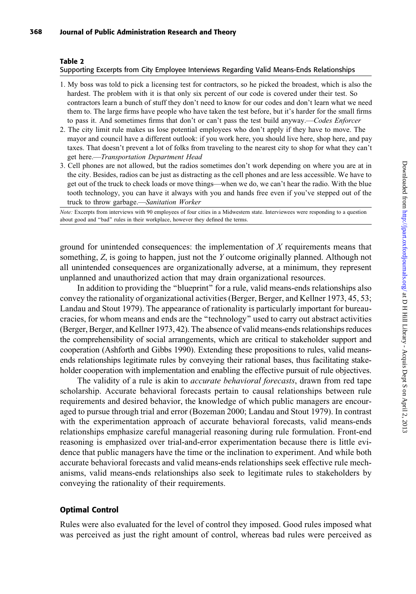#### Supporting Excerpts from City Employee Interviews Regarding Valid Means-Ends Relationships

- 1. My boss was told to pick a licensing test for contractors, so he picked the broadest, which is also the hardest. The problem with it is that only six percent of our code is covered under their test. So contractors learn a bunch of stuff they don't need to know for our codes and don't learn what we need them to. The large firms have people who have taken the test before, but it's harder for the small firms to pass it. And sometimes firms that don't or can't pass the test build anyway.—Codes Enforcer
- 2. The city limit rule makes us lose potential employees who don't apply if they have to move. The mayor and council have a different outlook: if you work here, you should live here, shop here, and pay taxes. That doesn't prevent a lot of folks from traveling to the nearest city to shop for what they can't get here.—Transportation Department Head
- 3. Cell phones are not allowed, but the radios sometimes don't work depending on where you are at in the city. Besides, radios can be just as distracting as the cell phones and are less accessible. We have to get out of the truck to check loads or move things—when we do, we can't hear the radio. With the blue tooth technology, you can have it always with you and hands free even if you've stepped out of the truck to throw garbage.—Sanitation Worker

Note: Excerpts from interviews with 90 employees of four cities in a Midwestern state. Interviewees were responding to a question about good and ''bad'' rules in their workplace, however they defined the terms.

ground for unintended consequences: the implementation of  $X$  requirements means that something, Z, is going to happen, just not the Y outcome originally planned. Although not all unintended consequences are organizationally adverse, at a minimum, they represent unplanned and unauthorized action that may drain organizational resources.

In addition to providing the ''blueprint'' for a rule, valid means-ends relationships also convey the rationality of organizational activities (Berger, Berger, and Kellner 1973, 45, 53; Landau and Stout 1979). The appearance of rationality is particularly important for bureaucracies, for whom means and ends are the ''technology'' used to carry out abstract activities (Berger, Berger, and Kellner 1973, 42). The absence of valid means-ends relationships reduces the comprehensibility of social arrangements, which are critical to stakeholder support and cooperation (Ashforth and Gibbs 1990). Extending these propositions to rules, valid meansends relationships legitimate rules by conveying their rational bases, thus facilitating stakeholder cooperation with implementation and enabling the effective pursuit of rule objectives.

The validity of a rule is akin to *accurate behavioral forecasts*, drawn from red tape scholarship. Accurate behavioral forecasts pertain to causal relationships between rule requirements and desired behavior, the knowledge of which public managers are encouraged to pursue through trial and error (Bozeman 2000; Landau and Stout 1979). In contrast with the experimentation approach of accurate behavioral forecasts, valid means-ends relationships emphasize careful managerial reasoning during rule formulation. Front-end reasoning is emphasized over trial-and-error experimentation because there is little evidence that public managers have the time or the inclination to experiment. And while both accurate behavioral forecasts and valid means-ends relationships seek effective rule mechanisms, valid means-ends relationships also seek to legitimate rules to stakeholders by conveying the rationality of their requirements.

### Optimal Control

Rules were also evaluated for the level of control they imposed. Good rules imposed what was perceived as just the right amount of control, whereas bad rules were perceived as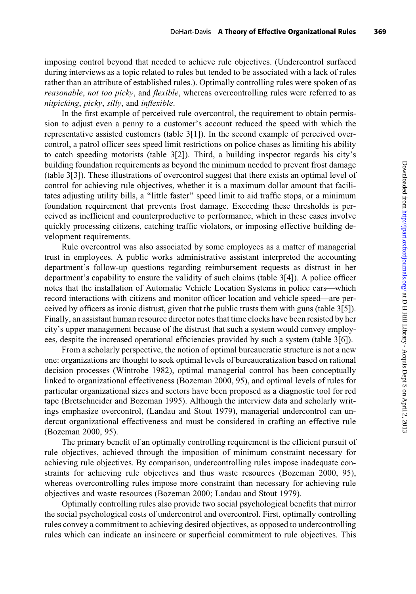imposing control beyond that needed to achieve rule objectives. (Undercontrol surfaced during interviews as a topic related to rules but tended to be associated with a lack of rules rather than an attribute of established rules.). Optimally controlling rules were spoken of as reasonable, not too picky, and flexible, whereas overcontrolling rules were referred to as nitpicking, picky, silly, and inflexible.

In the first example of perceived rule overcontrol, the requirement to obtain permission to adjust even a penny to a customer's account reduced the speed with which the representative assisted customers (table 3[1]). In the second example of perceived overcontrol, a patrol officer sees speed limit restrictions on police chases as limiting his ability to catch speeding motorists (table 3[2]). Third, a building inspector regards his city's building foundation requirements as beyond the minimum needed to prevent frost damage (table 3[3]). These illustrations of overcontrol suggest that there exists an optimal level of control for achieving rule objectives, whether it is a maximum dollar amount that facilitates adjusting utility bills, a ''little faster'' speed limit to aid traffic stops, or a minimum foundation requirement that prevents frost damage. Exceeding these thresholds is perceived as inefficient and counterproductive to performance, which in these cases involve quickly processing citizens, catching traffic violators, or imposing effective building development requirements.

Rule overcontrol was also associated by some employees as a matter of managerial trust in employees. A public works administrative assistant interpreted the accounting department's follow-up questions regarding reimbursement requests as distrust in her department's capability to ensure the validity of such claims (table 3[4]). A police officer notes that the installation of Automatic Vehicle Location Systems in police cars—which record interactions with citizens and monitor officer location and vehicle speed—are perceived by officers as ironic distrust, given that the public trusts them with guns (table 3[5]). Finally, an assistant human resource director notes that time clocks have been resisted by her city's upper management because of the distrust that such a system would convey employees, despite the increased operational efficiencies provided by such a system (table 3[6]).

From a scholarly perspective, the notion of optimal bureaucratic structure is not a new one: organizations are thought to seek optimal levels of bureaucratization based on rational decision processes (Wintrobe 1982), optimal managerial control has been conceptually linked to organizational effectiveness (Bozeman 2000, 95), and optimal levels of rules for particular organizational sizes and sectors have been proposed as a diagnostic tool for red tape (Bretschneider and Bozeman 1995). Although the interview data and scholarly writings emphasize overcontrol, (Landau and Stout 1979), managerial undercontrol can undercut organizational effectiveness and must be considered in crafting an effective rule (Bozeman 2000, 95).

The primary benefit of an optimally controlling requirement is the efficient pursuit of rule objectives, achieved through the imposition of minimum constraint necessary for achieving rule objectives. By comparison, undercontrolling rules impose inadequate constraints for achieving rule objectives and thus waste resources (Bozeman 2000, 95), whereas overcontrolling rules impose more constraint than necessary for achieving rule objectives and waste resources (Bozeman 2000; Landau and Stout 1979).

Optimally controlling rules also provide two social psychological benefits that mirror the social psychological costs of undercontrol and overcontrol. First, optimally controlling rules convey a commitment to achieving desired objectives, as opposed to undercontrolling rules which can indicate an insincere or superficial commitment to rule objectives. This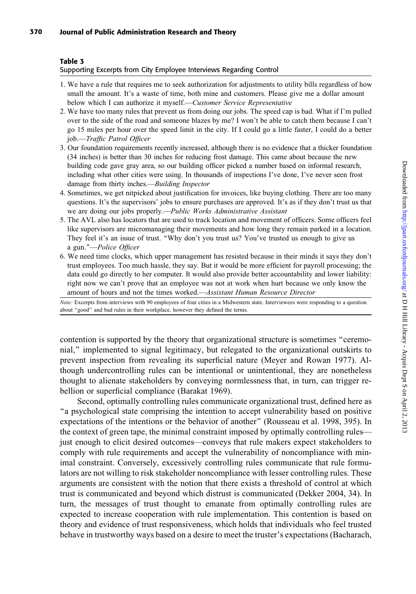#### Supporting Excerpts from City Employee Interviews Regarding Control

- 1. We have a rule that requires me to seek authorization for adjustments to utility bills regardless of how small the amount. It's a waste of time, both mine and customers. Please give me a dollar amount below which I can authorize it myself.—Customer Service Representative
- 2. We have too many rules that prevent us from doing our jobs. The speed cap is bad. What if I'm pulled over to the side of the road and someone blazes by me? I won't be able to catch them because I can't go 15 miles per hour over the speed limit in the city. If I could go a little faster, I could do a better job.—Traffic Patrol Officer
- 3. Our foundation requirements recently increased, although there is no evidence that a thicker foundation (34 inches) is better than 30 inches for reducing frost damage. This came about because the new building code gave gray area, so our building officer picked a number based on informal research, including what other cities were using. In thousands of inspections I've done, I've never seen frost damage from thirty inches.—Building Inspector
- 4. Sometimes, we get nitpicked about justification for invoices, like buying clothing. There are too many questions. It's the supervisors' jobs to ensure purchases are approved. It's as if they don't trust us that we are doing our jobs properly.—Public Works Administrative Assistant
- 5. The AVL also has locators that are used to track location and movement of officers. Some officers feel like supervisors are micromanaging their movements and how long they remain parked in a location. They feel it's an issue of trust. ''Why don't you trust us? You've trusted us enough to give us a gun.''—Police Officer
- 6. We need time clocks, which upper management has resisted because in their minds it says they don't trust employees. Too much hassle, they say. But it would be more efficient for payroll processing; the data could go directly to her computer. It would also provide better accountability and lower liability: right now we can't prove that an employee was not at work when hurt because we only know the amount of hours and not the times worked.—Assistant Human Resource Director

Note: Excerpts from interviews with 90 employees of four cities in a Midwestern state. Interviewees were responding to a question about "good" and bad rules in their workplace, however they defined the terms.

contention is supported by the theory that organizational structure is sometimes ''ceremonial,'' implemented to signal legitimacy, but relegated to the organizational outskirts to prevent inspection from revealing its superficial nature (Meyer and Rowan 1977). Although undercontrolling rules can be intentional or unintentional, they are nonetheless thought to alienate stakeholders by conveying normlessness that, in turn, can trigger rebellion or superficial compliance (Barakat 1969).

Second, optimally controlling rules communicate organizational trust, defined here as ''a psychological state comprising the intention to accept vulnerability based on positive expectations of the intentions or the behavior of another'' (Rousseau et al. 1998, 395). In the context of green tape, the minimal constraint imposed by optimally controlling rules just enough to elicit desired outcomes—conveys that rule makers expect stakeholders to comply with rule requirements and accept the vulnerability of noncompliance with minimal constraint. Conversely, excessively controlling rules communicate that rule formulators are not willing to risk stakeholder noncompliance with lesser controlling rules. These arguments are consistent with the notion that there exists a threshold of control at which trust is communicated and beyond which distrust is communicated (Dekker 2004, 34). In turn, the messages of trust thought to emanate from optimally controlling rules are expected to increase cooperation with rule implementation. This contention is based on theory and evidence of trust responsiveness, which holds that individuals who feel trusted behave in trustworthy ways based on a desire to meet the truster's expectations (Bacharach,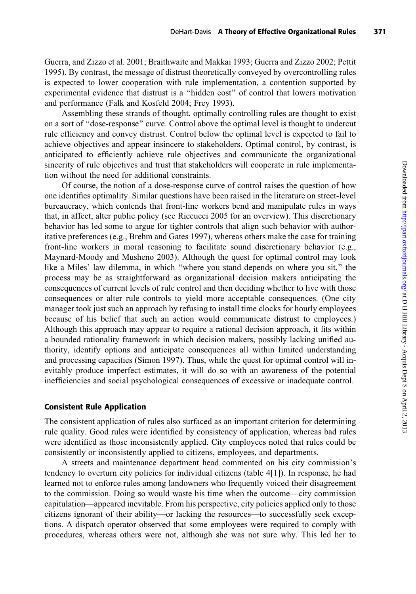Guerra, and Zizzo et al. 2001; Braithwaite and Makkai 1993; Guerra and Zizzo 2002; Pettit 1995). By contrast, the message of distrust theoretically conveyed by overcontrolling rules is expected to lower cooperation with rule implementation, a contention supported by experimental evidence that distrust is a ''hidden cost'' of control that lowers motivation and performance (Falk and Kosfeld 2004; Frey 1993).

Assembling these strands of thought, optimally controlling rules are thought to exist on a sort of ''dose-response'' curve. Control above the optimal level is thought to undercut rule efficiency and convey distrust. Control below the optimal level is expected to fail to achieve objectives and appear insincere to stakeholders. Optimal control, by contrast, is anticipated to efficiently achieve rule objectives and communicate the organizational sincerity of rule objectives and trust that stakeholders will cooperate in rule implementation without the need for additional constraints.

Of course, the notion of a dose-response curve of control raises the question of how one identifies optimality. Similar questions have been raised in the literature on street-level bureaucracy, which contends that front-line workers bend and manipulate rules in ways that, in affect, alter public policy (see Riccucci 2005 for an overview). This discretionary behavior has led some to argue for tighter controls that align such behavior with authoritative preferences (e.g., Brehm and Gates 1997), whereas others make the case for training front-line workers in moral reasoning to facilitate sound discretionary behavior (e.g., Maynard-Moody and Musheno 2003). Although the quest for optimal control may look like a Miles' law dilemma, in which ''where you stand depends on where you sit,'' the process may be as straightforward as organizational decision makers anticipating the consequences of current levels of rule control and then deciding whether to live with those consequences or alter rule controls to yield more acceptable consequences. (One city manager took just such an approach by refusing to install time clocks for hourly employees because of his belief that such an action would communicate distrust to employees.) Although this approach may appear to require a rational decision approach, it fits within a bounded rationality framework in which decision makers, possibly lacking unified authority, identify options and anticipate consequences all within limited understanding and processing capacities (Simon 1997). Thus, while the quest for optimal control will inevitably produce imperfect estimates, it will do so with an awareness of the potential inefficiencies and social psychological consequences of excessive or inadequate control.

#### Consistent Rule Application

The consistent application of rules also surfaced as an important criterion for determining rule quality. Good rules were identified by consistency of application, whereas bad rules were identified as those inconsistently applied. City employees noted that rules could be consistently or inconsistently applied to citizens, employees, and departments.

A streets and maintenance department head commented on his city commission's tendency to overturn city policies for individual citizens (table 4[1]). In response, he had learned not to enforce rules among landowners who frequently voiced their disagreement to the commission. Doing so would waste his time when the outcome—city commission capitulation—appeared inevitable. From his perspective, city policies applied only to those citizens ignorant of their ability—or lacking the resources—to successfully seek exceptions. A dispatch operator observed that some employees were required to comply with procedures, whereas others were not, although she was not sure why. This led her to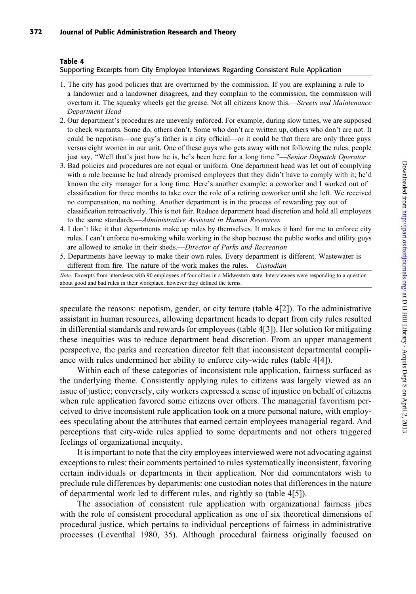### Supporting Excerpts from City Employee Interviews Regarding Consistent Rule Application

- 1. The city has good policies that are overturned by the commission. If you are explaining a rule to a landowner and a landowner disagrees, and they complain to the commission, the commission will overturn it. The squeaky wheels get the grease. Not all citizens know this.—Streets and Maintenance Department Head
- 2. Our department's procedures are unevenly enforced. For example, during slow times, we are supposed to check warrants. Some do, others don't. Some who don't are written up, others who don't are not. It could be nepotism—one guy's father is a city official—or it could be that there are only three guys versus eight women in our unit. One of these guys who gets away with not following the rules, people just say, ''Well that's just how he is, he's been here for a long time.''—Senior Dispatch Operator
- 3. Bad policies and procedures are not equal or uniform. One department head was let out of complying with a rule because he had already promised employees that they didn't have to comply with it; he'd known the city manager for a long time. Here's another example: a coworker and I worked out of classification for three months to take over the role of a retiring coworker until she left. We received no compensation, no nothing. Another department is in the process of rewarding pay out of classification retroactively. This is not fair. Reduce department head discretion and hold all employees to the same standards.—Administrative Assistant in Human Resources
- 4. I don't like it that departments make up rules by themselves. It makes it hard for me to enforce city rules. I can't enforce no-smoking while working in the shop because the public works and utility guys are allowed to smoke in their sheds.—Director of Parks and Recreation
- 5. Departments have leeway to make their own rules. Every department is different. Wastewater is different from fire. The nature of the work makes the rules.—Custodian

Note: Excerpts from interviews with 90 employees of four cities in a Midwestern state. Interviewees were responding to a question about good and bad rules in their workplace, however they defined the terms.

speculate the reasons: nepotism, gender, or city tenure (table 4[2]). To the administrative assistant in human resources, allowing department heads to depart from city rules resulted in differential standards and rewards for employees (table 4[3]). Her solution for mitigating these inequities was to reduce department head discretion. From an upper management perspective, the parks and recreation director felt that inconsistent departmental compliance with rules undermined her ability to enforce city-wide rules (table 4[4]).

Within each of these categories of inconsistent rule application, fairness surfaced as the underlying theme. Consistently applying rules to citizens was largely viewed as an issue of justice; conversely, city workers expressed a sense of injustice on behalf of citizens when rule application favored some citizens over others. The managerial favoritism perceived to drive inconsistent rule application took on a more personal nature, with employees speculating about the attributes that earned certain employees managerial regard. And perceptions that city-wide rules applied to some departments and not others triggered feelings of organizational inequity.

It is important to note that the city employees interviewed were not advocating against exceptions to rules: their comments pertained to rules systematically inconsistent, favoring certain individuals or departments in their application. Nor did commentators wish to preclude rule differences by departments: one custodian notes that differences in the nature of departmental work led to different rules, and rightly so (table 4[5]).

The association of consistent rule application with organizational fairness jibes with the role of consistent procedural application as one of six theoretical dimensions of procedural justice, which pertains to individual perceptions of fairness in administrative processes (Leventhal 1980, 35). Although procedural fairness originally focused on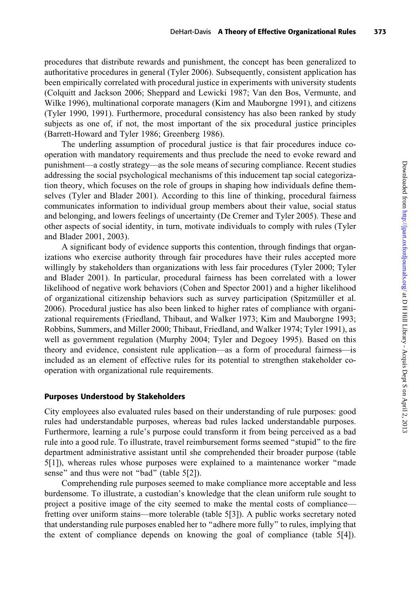procedures that distribute rewards and punishment, the concept has been generalized to authoritative procedures in general (Tyler 2006). Subsequently, consistent application has been empirically correlated with procedural justice in experiments with university students (Colquitt and Jackson 2006; Sheppard and Lewicki 1987; Van den Bos, Vermunte, and Wilke 1996), multinational corporate managers (Kim and Mauborgne 1991), and citizens (Tyler 1990, 1991). Furthermore, procedural consistency has also been ranked by study subjects as one of, if not, the most important of the six procedural justice principles (Barrett-Howard and Tyler 1986; Greenberg 1986).

The underling assumption of procedural justice is that fair procedures induce cooperation with mandatory requirements and thus preclude the need to evoke reward and punishment—a costly strategy—as the sole means of securing compliance. Recent studies addressing the social psychological mechanisms of this inducement tap social categorization theory, which focuses on the role of groups in shaping how individuals define themselves (Tyler and Blader 2001). According to this line of thinking, procedural fairness communicates information to individual group members about their value, social status and belonging, and lowers feelings of uncertainty (De Cremer and Tyler 2005). These and other aspects of social identity, in turn, motivate individuals to comply with rules (Tyler and Blader 2001, 2003).

A significant body of evidence supports this contention, through findings that organizations who exercise authority through fair procedures have their rules accepted more willingly by stakeholders than organizations with less fair procedures (Tyler 2000; Tyler and Blader 2001). In particular, procedural fairness has been correlated with a lower likelihood of negative work behaviors (Cohen and Spector 2001) and a higher likelihood of organizational citizenship behaviors such as survey participation (Spitzmüller et al. 2006). Procedural justice has also been linked to higher rates of compliance with organizational requirements (Friedland, Thibaut, and Walker 1973; Kim and Mauborgne 1993; Robbins, Summers, and Miller 2000; Thibaut, Friedland, and Walker 1974; Tyler 1991), as well as government regulation (Murphy 2004; Tyler and Degoey 1995). Based on this theory and evidence, consistent rule application—as a form of procedural fairness—is included as an element of effective rules for its potential to strengthen stakeholder cooperation with organizational rule requirements.

#### Purposes Understood by Stakeholders

City employees also evaluated rules based on their understanding of rule purposes: good rules had understandable purposes, whereas bad rules lacked understandable purposes. Furthermore, learning a rule's purpose could transform it from being perceived as a bad rule into a good rule. To illustrate, travel reimbursement forms seemed ''stupid'' to the fire department administrative assistant until she comprehended their broader purpose (table 5[1]), whereas rules whose purposes were explained to a maintenance worker ''made sense" and thus were not "bad" (table 5[2]).

Comprehending rule purposes seemed to make compliance more acceptable and less burdensome. To illustrate, a custodian's knowledge that the clean uniform rule sought to project a positive image of the city seemed to make the mental costs of compliance fretting over uniform stains—more tolerable (table 5[3]). A public works secretary noted that understanding rule purposes enabled her to ''adhere more fully'' to rules, implying that the extent of compliance depends on knowing the goal of compliance (table 5[4]).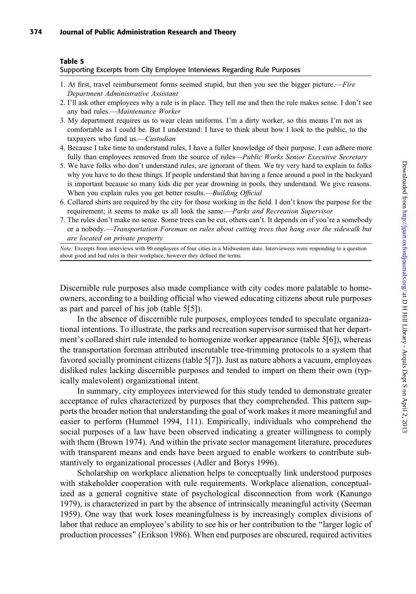Supporting Excerpts from City Employee Interviews Regarding Rule Purposes

- 1. At first, travel reimbursement forms seemed stupid, but then you see the bigger picture.—Fire Department Administrative Assistant
- 2. I'll ask other employees why a rule is in place. They tell me and then the rule makes sense. I don't see any bad rules.—Maintenance Worker
- 3. My department requires us to wear clean uniforms. I'm a dirty worker, so this means I'm not as comfortable as I could be. But I understand: I have to think about how I look to the public, to the taxpayers who fund us.—Custodian
- 4. Because I take time to understand rules, I have a fuller knowledge of their purpose. I can adhere more fully than employees removed from the source of rules—Public Works Senior Executive Secretary
- 5. We have folks who don't understand rules, are ignorant of them. We try very hard to explain to folks why you have to do these things. If people understand that having a fence around a pool in the backyard is important because so many kids die per year drowning in pools, they understand. We give reasons. When you explain rules you get better results.—Building Official
- 6. Collared shirts are required by the city for those working in the field. I don't know the purpose for the requirement; it seems to make us all look the same.—*Parks and Recreation Supervisor*
- 7. The rules don't make no sense. Some trees can be cut, others can't. It depends on if you're a somebody or a nobody.—Transportation Foreman on rules about cutting trees that hang over the sidewalk but are located on private property

Note: Excerpts from interviews with 90 employees of four cities in a Midwestern state. Interviewees were responding to a question about good and bad rules in their workplace, however they defined the terms.

Discernible rule purposes also made compliance with city codes more palatable to homeowners, according to a building official who viewed educating citizens about rule purposes as part and parcel of his job (table 5[5]).

In the absence of discernible rule purposes, employees tended to speculate organizational intentions. To illustrate, the parks and recreation supervisor surmised that her department's collared shirt rule intended to homogenize worker appearance (table 5[6]), whereas the transportation foreman attributed inscrutable tree-trimming protocols to a system that favored socially prominent citizens (table 5[7]). Just as nature abhors a vacuum, employees disliked rules lacking discernible purposes and tended to impart on them their own (typically malevolent) organizational intent.

In summary, city employees interviewed for this study tended to demonstrate greater acceptance of rules characterized by purposes that they comprehended. This pattern supports the broader notion that understanding the goal of work makes it more meaningful and easier to perform (Hummel 1994, 111). Empirically, individuals who comprehend the social purposes of a law have been observed indicating a greater willingness to comply with them (Brown 1974). And within the private sector management literature, procedures with transparent means and ends have been argued to enable workers to contribute substantively to organizational processes (Adler and Borys 1996).

Scholarship on workplace alienation helps to conceptually link understood purposes with stakeholder cooperation with rule requirements. Workplace alienation, conceptualized as a general cognitive state of psychological disconnection from work (Kanungo 1979), is characterized in part by the absence of intrinsically meaningful activity (Seeman 1959). One way that work loses meaningfulness is by increasingly complex divisions of labor that reduce an employee's ability to see his or her contribution to the ''larger logic of production processes'' (Erikson 1986). When end purposes are obscured, required activities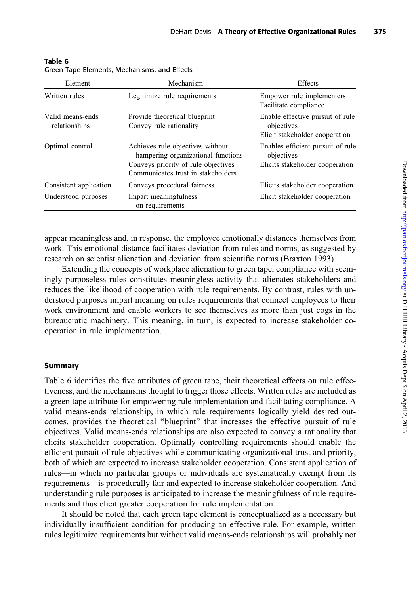| Element                           | Mechanism                                                                                                                                           | Effects                                                                            |
|-----------------------------------|-----------------------------------------------------------------------------------------------------------------------------------------------------|------------------------------------------------------------------------------------|
| Written rules                     | Legitimize rule requirements                                                                                                                        | Empower rule implementers<br>Facilitate compliance                                 |
| Valid means-ends<br>relationships | Provide theoretical blueprint<br>Convey rule rationality                                                                                            | Enable effective pursuit of rule<br>objectives<br>Elicit stakeholder cooperation   |
| Optimal control                   | Achieves rule objectives without<br>hampering organizational functions<br>Conveys priority of rule objectives<br>Communicates trust in stakeholders | Enables efficient pursuit of rule<br>objectives<br>Elicits stakeholder cooperation |
| Consistent application            | Conveys procedural fairness                                                                                                                         | Elicits stakeholder cooperation                                                    |
| Understood purposes               | Impart meaningfulness<br>on requirements                                                                                                            | Elicit stakeholder cooperation                                                     |

Table 6 Green Tape Elements, Mechanisms, and Effects

appear meaningless and, in response, the employee emotionally distances themselves from work. This emotional distance facilitates deviation from rules and norms, as suggested by research on scientist alienation and deviation from scientific norms (Braxton 1993).

Extending the concepts of workplace alienation to green tape, compliance with seemingly purposeless rules constitutes meaningless activity that alienates stakeholders and reduces the likelihood of cooperation with rule requirements. By contrast, rules with understood purposes impart meaning on rules requirements that connect employees to their work environment and enable workers to see themselves as more than just cogs in the bureaucratic machinery. This meaning, in turn, is expected to increase stakeholder cooperation in rule implementation.

### Summary

Table 6 identifies the five attributes of green tape, their theoretical effects on rule effectiveness, and the mechanisms thought to trigger those effects. Written rules are included as a green tape attribute for empowering rule implementation and facilitating compliance. A valid means-ends relationship, in which rule requirements logically yield desired outcomes, provides the theoretical ''blueprint'' that increases the effective pursuit of rule objectives. Valid means-ends relationships are also expected to convey a rationality that elicits stakeholder cooperation. Optimally controlling requirements should enable the efficient pursuit of rule objectives while communicating organizational trust and priority, both of which are expected to increase stakeholder cooperation. Consistent application of rules—in which no particular groups or individuals are systematically exempt from its requirements—is procedurally fair and expected to increase stakeholder cooperation. And understanding rule purposes is anticipated to increase the meaningfulness of rule requirements and thus elicit greater cooperation for rule implementation.

It should be noted that each green tape element is conceptualized as a necessary but individually insufficient condition for producing an effective rule. For example, written rules legitimize requirements but without valid means-ends relationships will probably not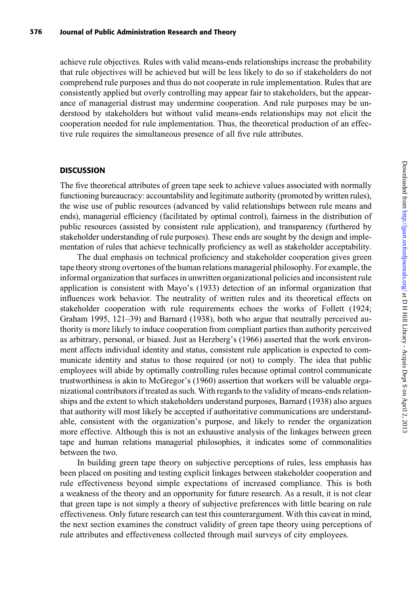achieve rule objectives. Rules with valid means-ends relationships increase the probability that rule objectives will be achieved but will be less likely to do so if stakeholders do not comprehend rule purposes and thus do not cooperate in rule implementation. Rules that are consistently applied but overly controlling may appear fair to stakeholders, but the appearance of managerial distrust may undermine cooperation. And rule purposes may be understood by stakeholders but without valid means-ends relationships may not elicit the cooperation needed for rule implementation. Thus, the theoretical production of an effective rule requires the simultaneous presence of all five rule attributes.

### **DISCUSSION**

The five theoretical attributes of green tape seek to achieve values associated with normally functioning bureaucracy: accountability and legitimate authority (promoted by written rules), the wise use of public resources (advanced by valid relationships between rule means and ends), managerial efficiency (facilitated by optimal control), fairness in the distribution of public resources (assisted by consistent rule application), and transparency (furthered by stakeholder understanding of rule purposes). These ends are sought by the design and implementation of rules that achieve technically proficiency as well as stakeholder acceptability.

The dual emphasis on technical proficiency and stakeholder cooperation gives green tape theory strong overtones of the human relations managerial philosophy. For example, the informal organization that surfaces in unwritten organizational policies and inconsistent rule application is consistent with Mayo's (1933) detection of an informal organization that influences work behavior. The neutrality of written rules and its theoretical effects on stakeholder cooperation with rule requirements echoes the works of Follett (1924; Graham 1995, 121–39) and Barnard (1938), both who argue that neutrally perceived authority is more likely to induce cooperation from compliant parties than authority perceived as arbitrary, personal, or biased. Just as Herzberg's (1966) asserted that the work environment affects individual identity and status, consistent rule application is expected to communicate identity and status to those required (or not) to comply. The idea that public employees will abide by optimally controlling rules because optimal control communicate trustworthiness is akin to McGregor's (1960) assertion that workers will be valuable organizational contributors if treated as such. With regards to the validity of means-ends relationships and the extent to which stakeholders understand purposes, Barnard (1938) also argues that authority will most likely be accepted if authoritative communications are understandable, consistent with the organization's purpose, and likely to render the organization more effective. Although this is not an exhaustive analysis of the linkages between green tape and human relations managerial philosophies, it indicates some of commonalities between the two.

In building green tape theory on subjective perceptions of rules, less emphasis has been placed on positing and testing explicit linkages between stakeholder cooperation and rule effectiveness beyond simple expectations of increased compliance. This is both a weakness of the theory and an opportunity for future research. As a result, it is not clear that green tape is not simply a theory of subjective preferences with little bearing on rule effectiveness. Only future research can test this counterargument. With this caveat in mind, the next section examines the construct validity of green tape theory using perceptions of rule attributes and effectiveness collected through mail surveys of city employees.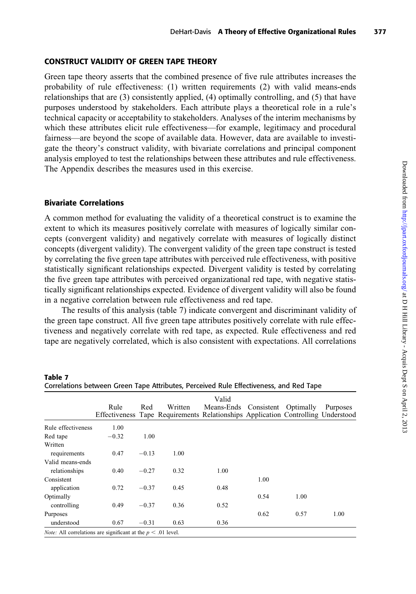#### CONSTRUCT VALIDITY OF GREEN TAPE THEORY

Green tape theory asserts that the combined presence of five rule attributes increases the probability of rule effectiveness: (1) written requirements (2) with valid means-ends relationships that are (3) consistently applied, (4) optimally controlling, and (5) that have purposes understood by stakeholders. Each attribute plays a theoretical role in a rule's technical capacity or acceptability to stakeholders. Analyses of the interim mechanisms by which these attributes elicit rule effectiveness—for example, legitimacy and procedural fairness—are beyond the scope of available data. However, data are available to investigate the theory's construct validity, with bivariate correlations and principal component analysis employed to test the relationships between these attributes and rule effectiveness. The Appendix describes the measures used in this exercise.

#### Bivariate Correlations

A common method for evaluating the validity of a theoretical construct is to examine the extent to which its measures positively correlate with measures of logically similar concepts (convergent validity) and negatively correlate with measures of logically distinct concepts (divergent validity). The convergent validity of the green tape construct is tested by correlating the five green tape attributes with perceived rule effectiveness, with positive statistically significant relationships expected. Divergent validity is tested by correlating the five green tape attributes with perceived organizational red tape, with negative statistically significant relationships expected. Evidence of divergent validity will also be found in a negative correlation between rule effectiveness and red tape.

The results of this analysis (table 7) indicate convergent and discriminant validity of the green tape construct. All five green tape attributes positively correlate with rule effectiveness and negatively correlate with red tape, as expected. Rule effectiveness and red tape are negatively correlated, which is also consistent with expectations. All correlations

| Correlations between Green Tape Attributes, Perceived Rule Effectiveness, and Red Tape |         |         |         |                                                                                                                              |      |      |          |
|----------------------------------------------------------------------------------------|---------|---------|---------|------------------------------------------------------------------------------------------------------------------------------|------|------|----------|
|                                                                                        | Rule    | Red     | Written | Valid<br>Means-Ends Consistent Optimally<br>Effectiveness Tape Requirements Relationships Application Controlling Understood |      |      | Purposes |
| Rule effectiveness                                                                     | 1.00    |         |         |                                                                                                                              |      |      |          |
| Red tape                                                                               | $-0.32$ | 1.00    |         |                                                                                                                              |      |      |          |
| Written                                                                                |         |         |         |                                                                                                                              |      |      |          |
| requirements                                                                           | 0.47    | $-0.13$ | 1.00    |                                                                                                                              |      |      |          |
| Valid means-ends                                                                       |         |         |         |                                                                                                                              |      |      |          |
| relationships                                                                          | 0.40    | $-0.27$ | 0.32    | 1.00                                                                                                                         |      |      |          |
| Consistent                                                                             |         |         |         |                                                                                                                              | 1.00 |      |          |
| application                                                                            | 0.72    | $-0.37$ | 0.45    | 0.48                                                                                                                         |      |      |          |
| Optimally                                                                              |         |         |         |                                                                                                                              | 0.54 | 1.00 |          |
| controlling                                                                            | 0.49    | $-0.37$ | 0.36    | 0.52                                                                                                                         |      |      |          |
| Purposes                                                                               |         |         |         |                                                                                                                              | 0.62 | 0.57 | 1.00     |
| understood                                                                             | 0.67    | $-0.31$ | 0.63    | 0.36                                                                                                                         |      |      |          |
| <i>Note:</i> All correlations are significant at the $p < .01$ level.                  |         |         |         |                                                                                                                              |      |      |          |

Table 7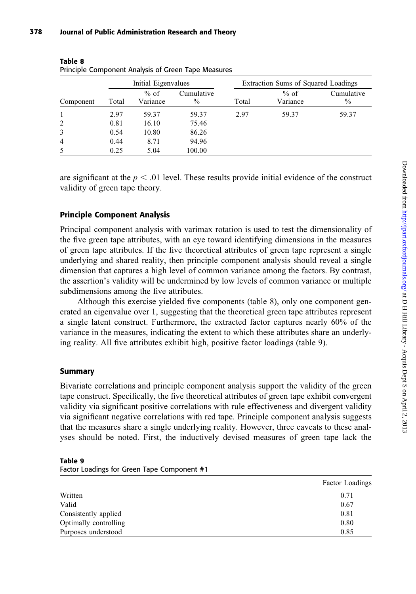|                | Initial Eigenvalues |                    |                             |       | Extraction Sums of Squared Loadings |                    |  |  |
|----------------|---------------------|--------------------|-----------------------------|-------|-------------------------------------|--------------------|--|--|
| Component      | Total               | $%$ of<br>Variance | Cumulative<br>$\frac{0}{0}$ | Total | $%$ of<br>Variance                  | Cumulative<br>$\%$ |  |  |
| 1              | 2.97                | 59.37              | 59.37                       | 2.97  | 59.37                               | 59.37              |  |  |
| 2              | 0.81                | 16.10              | 75.46                       |       |                                     |                    |  |  |
| 3              | 0.54                | 10.80              | 86.26                       |       |                                     |                    |  |  |
| $\overline{4}$ | 0.44                | 8.71               | 94.96                       |       |                                     |                    |  |  |
| 5              | 0.25                | 5.04               | 100.00                      |       |                                     |                    |  |  |

| Table 8 |                                                     |  |
|---------|-----------------------------------------------------|--|
|         | Principle Component Analysis of Green Tape Measures |  |

are significant at the  $p < .01$  level. These results provide initial evidence of the construct validity of green tape theory.

## Principle Component Analysis

Principal component analysis with varimax rotation is used to test the dimensionality of the five green tape attributes, with an eye toward identifying dimensions in the measures of green tape attributes. If the five theoretical attributes of green tape represent a single underlying and shared reality, then principle component analysis should reveal a single dimension that captures a high level of common variance among the factors. By contrast, the assertion's validity will be undermined by low levels of common variance or multiple subdimensions among the five attributes.

Although this exercise yielded five components (table 8), only one component generated an eigenvalue over 1, suggesting that the theoretical green tape attributes represent a single latent construct. Furthermore, the extracted factor captures nearly 60% of the variance in the measures, indicating the extent to which these attributes share an underlying reality. All five attributes exhibit high, positive factor loadings (table 9).

## Summary

Bivariate correlations and principle component analysis support the validity of the green tape construct. Specifically, the five theoretical attributes of green tape exhibit convergent validity via significant positive correlations with rule effectiveness and divergent validity via significant negative correlations with red tape. Principle component analysis suggests that the measures share a single underlying reality. However, three caveats to these analyses should be noted. First, the inductively devised measures of green tape lack the

#### Table 9

Factor Loadings for Green Tape Component #1

|                       | Factor Loadings |
|-----------------------|-----------------|
| Written               | 0.71            |
| Valid                 | 0.67            |
| Consistently applied  | 0.81            |
| Optimally controlling | 0.80            |
| Purposes understood   | 0.85            |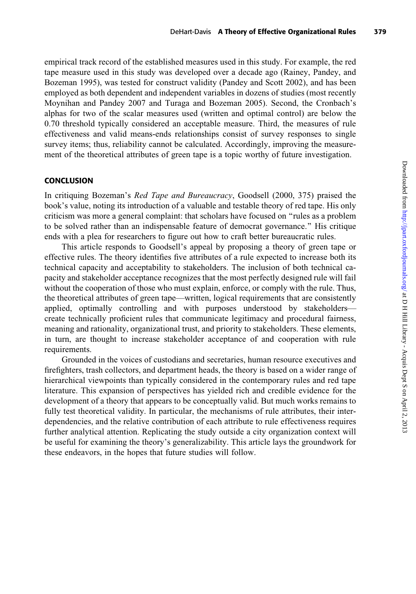empirical track record of the established measures used in this study. For example, the red tape measure used in this study was developed over a decade ago (Rainey, Pandey, and Bozeman 1995), was tested for construct validity (Pandey and Scott 2002), and has been employed as both dependent and independent variables in dozens of studies (most recently Moynihan and Pandey 2007 and Turaga and Bozeman 2005). Second, the Cronbach's alphas for two of the scalar measures used (written and optimal control) are below the 0.70 threshold typically considered an acceptable measure. Third, the measures of rule effectiveness and valid means-ends relationships consist of survey responses to single survey items; thus, reliability cannot be calculated. Accordingly, improving the measurement of the theoretical attributes of green tape is a topic worthy of future investigation.

#### **CONCLUSION**

In critiquing Bozeman's *Red Tape and Bureaucracy*, Goodsell (2000, 375) praised the book's value, noting its introduction of a valuable and testable theory of red tape. His only criticism was more a general complaint: that scholars have focused on ''rules as a problem to be solved rather than an indispensable feature of democrat governance.'' His critique ends with a plea for researchers to figure out how to craft better bureaucratic rules.

This article responds to Goodsell's appeal by proposing a theory of green tape or effective rules. The theory identifies five attributes of a rule expected to increase both its technical capacity and acceptability to stakeholders. The inclusion of both technical capacity and stakeholder acceptance recognizes that the most perfectly designed rule will fail without the cooperation of those who must explain, enforce, or comply with the rule. Thus, the theoretical attributes of green tape—written, logical requirements that are consistently applied, optimally controlling and with purposes understood by stakeholders create technically proficient rules that communicate legitimacy and procedural fairness, meaning and rationality, organizational trust, and priority to stakeholders. These elements, in turn, are thought to increase stakeholder acceptance of and cooperation with rule requirements.

Grounded in the voices of custodians and secretaries, human resource executives and firefighters, trash collectors, and department heads, the theory is based on a wider range of hierarchical viewpoints than typically considered in the contemporary rules and red tape literature. This expansion of perspectives has yielded rich and credible evidence for the development of a theory that appears to be conceptually valid. But much works remains to fully test theoretical validity. In particular, the mechanisms of rule attributes, their interdependencies, and the relative contribution of each attribute to rule effectiveness requires further analytical attention. Replicating the study outside a city organization context will be useful for examining the theory's generalizability. This article lays the groundwork for these endeavors, in the hopes that future studies will follow.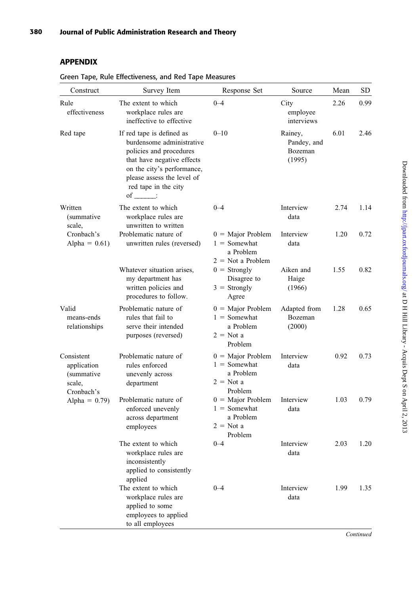## APPENDIX

| Construct                                                       | Survey Item                                                                                                                                                                                                          | Response Set                                                                 | Source                                      | Mean | SD   |
|-----------------------------------------------------------------|----------------------------------------------------------------------------------------------------------------------------------------------------------------------------------------------------------------------|------------------------------------------------------------------------------|---------------------------------------------|------|------|
| Rule<br>effectiveness                                           | The extent to which<br>workplace rules are<br>ineffective to effective                                                                                                                                               | $0 - 4$                                                                      | City<br>employee<br>interviews              | 2.26 | 0.99 |
| Red tape                                                        | If red tape is defined as<br>burdensome administrative<br>policies and procedures<br>that have negative effects<br>on the city's performance,<br>please assess the level of<br>red tape in the city<br>of $\qquad$ : | $0 - 10$                                                                     | Rainey,<br>Pandey, and<br>Bozeman<br>(1995) | 6.01 | 2.46 |
| Written<br>(summative<br>scale,                                 | The extent to which<br>workplace rules are<br>unwritten to written                                                                                                                                                   | $0 - 4$                                                                      | Interview<br>data                           | 2.74 | 1.14 |
| Cronbach's<br>Alpha = $0.61$ )                                  | Problematic nature of<br>unwritten rules (reversed)                                                                                                                                                                  | $0 =$ Major Problem<br>$1 =$ Somewhat<br>a Problem<br>$2 = Not$ a Problem    | Interview<br>data                           | 1.20 | 0.72 |
|                                                                 | Whatever situation arises,<br>my department has<br>written policies and<br>procedures to follow.                                                                                                                     | $0 =$ Strongly<br>Disagree to<br>$3 =$ Strongly<br>Agree                     | Aiken and<br>Haige<br>(1966)                | 1.55 | 0.82 |
| Valid<br>means-ends<br>relationships                            | Problematic nature of<br>rules that fail to<br>serve their intended<br>purposes (reversed)                                                                                                                           | $0 =$ Major Problem<br>$1 =$ Somewhat<br>a Problem<br>$2 = Not a$<br>Problem | Adapted from<br>Bozeman<br>(2000)           | 1.28 | 0.65 |
| Consistent<br>application<br>(summative<br>scale,<br>Cronbach's | Problematic nature of<br>rules enforced<br>unevenly across<br>department                                                                                                                                             | $0 =$ Major Problem<br>$1 =$ Somewhat<br>a Problem<br>$2 = Not a$<br>Problem | Interview<br>data                           | 0.92 | 0.73 |
| Alpha = $0.79$ )                                                | Problematic nature of<br>enforced unevenly<br>across department<br>employees                                                                                                                                         | $0 =$ Major Problem<br>$1 =$ Somewhat<br>a Problem<br>$2 = Not a$<br>Problem | Interview<br>data                           | 1.03 | 0.79 |
|                                                                 | The extent to which<br>workplace rules are<br>inconsistently<br>applied to consistently<br>applied                                                                                                                   | $0 - 4$                                                                      | Interview<br>data                           | 2.03 | 1.20 |
|                                                                 | The extent to which<br>workplace rules are<br>applied to some<br>employees to applied<br>to all employees                                                                                                            | $0 - 4$                                                                      | Interview<br>data                           | 1.99 | 1.35 |

Green Tape, Rule Effectiveness, and Red Tape Measures

Continued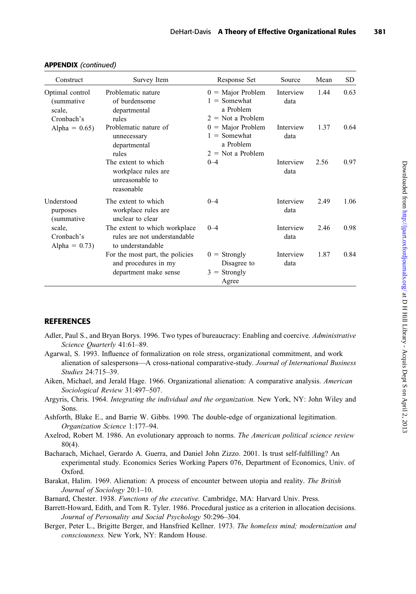| Construct                                              | Survey Item                                                                        | Response Set                                                              | Source            | Mean | SD.  |
|--------------------------------------------------------|------------------------------------------------------------------------------------|---------------------------------------------------------------------------|-------------------|------|------|
| Optimal control<br>(summative)<br>scale,<br>Cronbach's | Problematic nature<br>of burdensome<br>departmental<br>rules                       | $0 =$ Major Problem<br>$1 =$ Somewhat<br>a Problem<br>$2 =$ Not a Problem | Interview<br>data | 1.44 | 0.63 |
| Alpha = $0.65$ )                                       | Problematic nature of<br>unnecessary<br>departmental<br>rules                      | $0 =$ Major Problem<br>$1 =$ Somewhat<br>a Problem<br>$2 =$ Not a Problem | Interview<br>data | 1.37 | 0.64 |
|                                                        | The extent to which<br>workplace rules are<br>unreasonable to<br>reasonable        | $0 - 4$                                                                   | Interview<br>data | 2.56 | 0.97 |
| Understood<br>purposes<br>(summative)                  | The extent to which<br>workplace rules are<br>unclear to clear                     | $0 - 4$                                                                   | Interview<br>data | 2.49 | 1.06 |
| scale,<br>Cronbach's<br>Alpha = $0.73$ )               | The extent to which workplace<br>rules are not understandable<br>to understandable | $0 - 4$                                                                   | Interview<br>data | 2.46 | 0.98 |
|                                                        | For the most part, the policies<br>and procedures in my<br>department make sense   | $0 =$ Strongly<br>Disagree to<br>$3 =$ Strongly<br>Agree                  | Interview<br>data | 1.87 | 0.84 |

#### APPENDIX (continued)

#### REFERENCES

- Adler, Paul S., and Bryan Borys. 1996. Two types of bureaucracy: Enabling and coercive. Administrative Science Quarterly 41:61–89.
- Agarwal, S. 1993. Influence of formalization on role stress, organizational commitment, and work alienation of salespersons—A cross-national comparative-study. Journal of International Business Studies 24:715–39.
- Aiken, Michael, and Jerald Hage. 1966. Organizational alienation: A comparative analysis. American Sociological Review 31:497–507.
- Argyris, Chris. 1964. Integrating the individual and the organization. New York, NY: John Wiley and Sons.
- Ashforth, Blake E., and Barrie W. Gibbs. 1990. The double-edge of organizational legitimation. Organization Science 1:177–94.
- Axelrod, Robert M. 1986. An evolutionary approach to norms. The American political science review 80(4).
- Bacharach, Michael, Gerardo A. Guerra, and Daniel John Zizzo. 2001. Is trust self-fulfilling? An experimental study. Economics Series Working Papers 076, Department of Economics, Univ. of Oxford.
- Barakat, Halim. 1969. Alienation: A process of encounter between utopia and reality. The British Journal of Sociology 20:1–10.

Barnard, Chester. 1938. Functions of the executive. Cambridge, MA: Harvard Univ. Press.

- Barrett-Howard, Edith, and Tom R. Tyler. 1986. Procedural justice as a criterion in allocation decisions. Journal of Personality and Social Psychology 50:296–304.
- Berger, Peter L., Brigitte Berger, and Hansfried Kellner. 1973. The homeless mind; modernization and consciousness. New York, NY: Random House.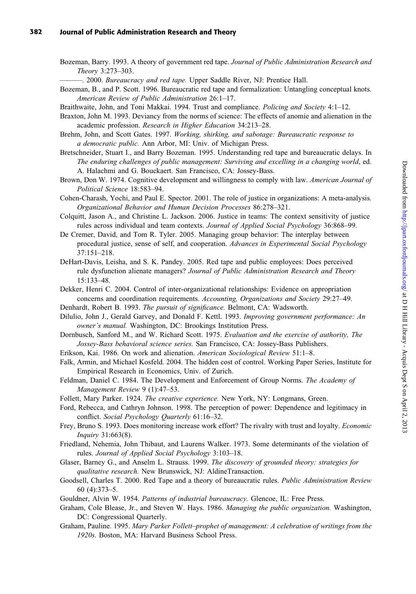#### 382 Journal of Public Administration Research and Theory

Bozeman, Barry. 1993. A theory of government red tape. Journal of Public Administration Research and Theory 3:273–303.

-. 2000. Bureaucracy and red tape. Upper Saddle River, NJ: Prentice Hall.

- Bozeman, B., and P. Scott. 1996. Bureaucratic red tape and formalization: Untangling conceptual knots. American Review of Public Administration 26:1–17.
- Braithwaite, John, and Toni Makkai. 1994. Trust and compliance. *Policing and Society* 4:1–12.
- Braxton, John M. 1993. Deviancy from the norms of science: The effects of anomie and alienation in the academic profession. Research in Higher Education 34:213–28.
- Brehm, John, and Scott Gates. 1997. Working, shirking, and sabotage: Bureaucratic response to a democratic public. Ann Arbor, MI: Univ. of Michigan Press.
- Bretschneider, Stuart I., and Barry Bozeman. 1995. Understanding red tape and bureaucratic delays. In The enduring challenges of public management: Surviving and excelling in a changing world, ed. A. Halachmi and G. Bouckaert. San Francisco, CA: Jossey-Bass.
- Brown, Don W. 1974. Cognitive development and willingness to comply with law. American Journal of Political Science 18:583–94.
- Cohen-Charash, Yochi, and Paul E. Spector. 2001. The role of justice in organizations: A meta-analysis. Organizational Behavior and Human Decision Processes 86:278–321.
- Colquitt, Jason A., and Christine L. Jackson. 2006. Justice in teams: The context sensitivity of justice rules across individual and team contexts. Journal of Applied Social Psychology 36:868–99.
- De Cremer, David, and Tom R. Tyler. 2005. Managing group behavior: The interplay between procedural justice, sense of self, and cooperation. Advances in Experimental Social Psychology 37:151–218.
- DeHart-Davis, Leisha, and S. K. Pandey. 2005. Red tape and public employees: Does perceived rule dysfunction alienate managers? Journal of Public Administration Research and Theory 15:133–48.
- Dekker, Henri C. 2004. Control of inter-organizational relationships: Evidence on appropriation concerns and coordination requirements. Accounting, Organizations and Society 29:27–49.
- Denhardt, Robert B. 1993. The pursuit of significance. Belmont, CA: Wadsworth.
- Dilulio, John J., Gerald Garvey, and Donald F. Kettl. 1993. Improving government performance: An owner's manual. Washington, DC: Brookings Institution Press.
- Dornbusch, Sanford M., and W. Richard Scott. 1975. Evaluation and the exercise of authority, The Jossey-Bass behavioral science series. San Francisco, CA: Jossey-Bass Publishers.
- Erikson, Kai. 1986. On work and alienation. American Sociological Review 51:1–8.
- Falk, Armin, and Michael Kosfeld. 2004. The hidden cost of control. Working Paper Series, Institute for Empirical Research in Economics, Univ. of Zurich.
- Feldman, Daniel C. 1984. The Development and Enforcement of Group Norms. The Academy of Management Review 9 (1):47–53.
- Follett, Mary Parker. 1924. The creative experience. New York, NY: Longmans, Green.
- Ford, Rebecca, and Cathryn Johnson. 1998. The perception of power: Dependence and legitimacy in conflict. Social Psychology Quarterly 61:16-32.
- Frey, Bruno S. 1993. Does monitoring increase work effort? The rivalry with trust and loyalty. Economic Inquiry 31:663(8).
- Friedland, Nehemia, John Thibaut, and Laurens Walker. 1973. Some determinants of the violation of rules. Journal of Applied Social Psychology 3:103–18.
- Glaser, Barney G., and Anselm L. Strauss. 1999. The discovery of grounded theory: strategies for qualitative research. New Brunswick, NJ: AldineTransaction.
- Goodsell, Charles T. 2000. Red Tape and a theory of bureaucratic rules. Public Administration Review 60 (4):373–5.
- Gouldner, Alvin W. 1954. Patterns of industrial bureaucracy. Glencoe, IL: Free Press.
- Graham, Cole Blease, Jr., and Steven W. Hays. 1986. Managing the public organization. Washington, DC: Congressional Quarterly.
- Graham, Pauline. 1995. Mary Parker Follett–prophet of management: A celebration of writings from the 1920s. Boston, MA: Harvard Business School Press.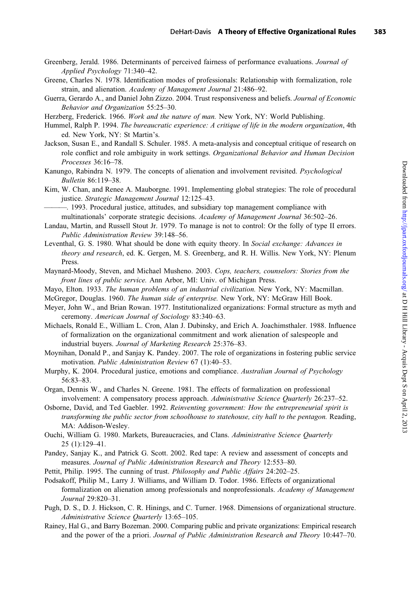- Greenberg, Jerald. 1986. Determinants of perceived fairness of performance evaluations. Journal of Applied Psychology 71:340–42.
- Greene, Charles N. 1978. Identification modes of professionals: Relationship with formalization, role strain, and alienation. Academy of Management Journal 21:486–92.
- Guerra, Gerardo A., and Daniel John Zizzo. 2004. Trust responsiveness and beliefs. Journal of Economic Behavior and Organization 55:25–30.
- Herzberg, Frederick. 1966. *Work and the nature of man*. New York, NY: World Publishing.
- Hummel, Ralph P. 1994. The bureaucratic experience: A critique of life in the modern organization, 4th ed. New York, NY: St Martin's.
- Jackson, Susan E., and Randall S. Schuler. 1985. A meta-analysis and conceptual critique of research on role conflict and role ambiguity in work settings. Organizational Behavior and Human Decision Processes 36:16–78.
- Kanungo, Rabindra N. 1979. The concepts of alienation and involvement revisited. *Psychological* Bulletin 86:119–38.
- Kim, W. Chan, and Renee A. Mauborgne. 1991. Implementing global strategies: The role of procedural justice. Strategic Management Journal 12:125–43.

———. 1993. Procedural justice, attitudes, and subsidiary top management compliance with multinationals' corporate strategic decisions. Academy of Management Journal 36:502–26.

- Landau, Martin, and Russell Stout Jr. 1979. To manage is not to control: Or the folly of type II errors. Public Administration Review 39:148–56.
- Leventhal, G. S. 1980. What should be done with equity theory. In Social exchange: Advances in theory and research, ed. K. Gergen, M. S. Greenberg, and R. H. Willis. New York, NY: Plenum Press.
- Maynard-Moody, Steven, and Michael Musheno. 2003. Cops, teachers, counselors: Stories from the front lines of public service. Ann Arbor, MI: Univ. of Michigan Press.
- Mayo, Elton. 1933. The human problems of an industrial civilization. New York, NY: Macmillan.
- McGregor, Douglas. 1960. The human side of enterprise. New York, NY: McGraw Hill Book.
- Meyer, John W., and Brian Rowan. 1977. Institutionalized organizations: Formal structure as myth and ceremony. American Journal of Sociology 83:340–63.
- Michaels, Ronald E., William L. Cron, Alan J. Dubinsky, and Erich A. Joachimsthaler. 1988. Influence of formalization on the organizational commitment and work alienation of salespeople and industrial buyers. Journal of Marketing Research 25:376–83.
- Moynihan, Donald P., and Sanjay K. Pandey. 2007. The role of organizations in fostering public service motivation. Public Administration Review 67 (1):40–53.
- Murphy, K. 2004. Procedural justice, emotions and compliance. Australian Journal of Psychology 56:83–83.
- Organ, Dennis W., and Charles N. Greene. 1981. The effects of formalization on professional involvement: A compensatory process approach. Administrative Science Quarterly 26:237–52.
- Osborne, David, and Ted Gaebler. 1992. Reinventing government: How the entrepreneurial spirit is transforming the public sector from schoolhouse to statehouse, city hall to the pentagon. Reading, MA: Addison-Wesley.
- Ouchi, William G. 1980. Markets, Bureaucracies, and Clans. Administrative Science Quarterly 25 (1):129–41.
- Pandey, Sanjay K., and Patrick G. Scott. 2002. Red tape: A review and assessment of concepts and measures. Journal of Public Administration Research and Theory 12:553–80.
- Pettit, Philip. 1995. The cunning of trust. Philosophy and Public Affairs 24:202-25.
- Podsakoff, Philip M., Larry J. Williams, and William D. Todor. 1986. Effects of organizational formalization on alienation among professionals and nonprofessionals. Academy of Management Journal 29:820–31.
- Pugh, D. S., D. J. Hickson, C. R. Hinings, and C. Turner. 1968. Dimensions of organizational structure. Administrative Science Quarterly 13:65–105.
- Rainey, Hal G., and Barry Bozeman. 2000. Comparing public and private organizations: Empirical research and the power of the a priori. Journal of Public Administration Research and Theory 10:447–70.